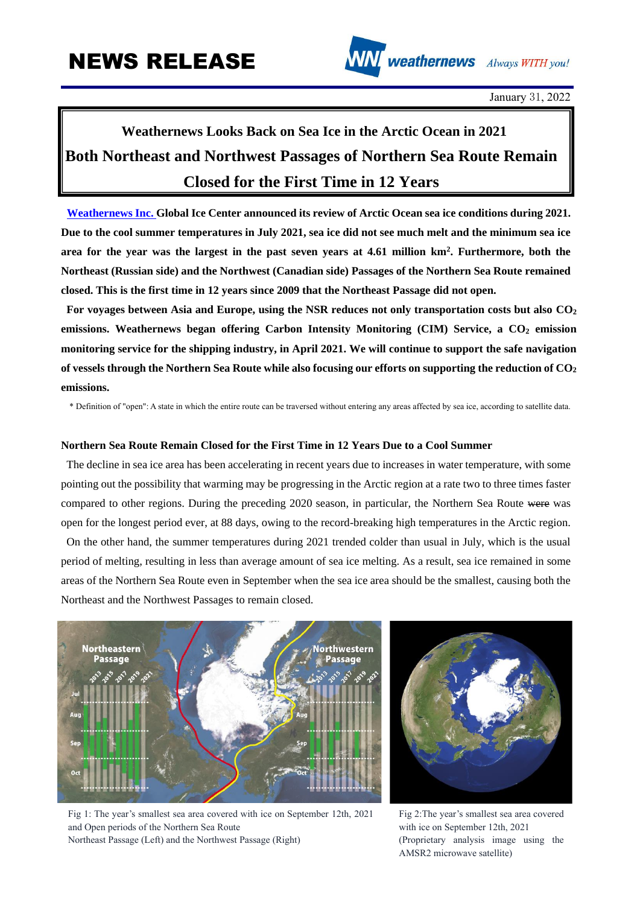

January 31, 2022

## **Weathernews Looks Back on Sea Ice in the Arctic Ocean in 2021 Both Northeast and Northwest Passages of Northern Sea Route Remain Closed for the First Time in 12 Years**

**[Weathernews Inc. G](https://global.weathernews.com/)lobal Ice Center announced its review of Arctic Ocean sea ice conditions during 2021. Due to the cool summer temperatures in July 2021, sea ice did not see much melt and the minimum sea ice area for the year was the largest in the past seven years at 4.61 million km<sup>2</sup> . Furthermore, both the Northeast (Russian side) and the Northwest (Canadian side) Passages of the Northern Sea Route remained closed. This is the first time in 12 years since 2009 that the Northeast Passage did not open.**

**For voyages between Asia and Europe, using the NSR reduces not only transportation costs but also CO<sup>2</sup> emissions. Weathernews began offering Carbon Intensity Monitoring (CIM) Service, a CO<sup>2</sup> emission monitoring service for the shipping industry, in April 2021. We will continue to support the safe navigation of vessels through the Northern Sea Route while also focusing our efforts on supporting the reduction of CO<sup>2</sup> emissions.**

\* Definition of "open": A state in which the entire route can be traversed without entering any areas affected by sea ice, according to satellite data.

## **Northern Sea Route Remain Closed for the First Time in 12 Years Due to a Cool Summer**

The decline in sea ice area has been accelerating in recent years due to increases in water temperature, with some pointing out the possibility that warming may be progressing in the Arctic region at a rate two to three times faster compared to other regions. During the preceding 2020 season, in particular, the Northern Sea Route were was open for the longest period ever, at 88 days, owing to the record-breaking high temperatures in the Arctic region.

On the other hand, the summer temperatures during 2021 trended colder than usual in July, which is the usual period of melting, resulting in less than average amount of sea ice melting. As a result, sea ice remained in some areas of the Northern Sea Route even in September when the sea ice area should be the smallest, causing both the Northeast and the Northwest Passages to remain closed.





Fig 1: The year's smallest sea area covered with ice on September 12th, 2021 and Open periods of the Northern Sea Route Northeast Passage (Left) and the Northwest Passage (Right)

Fig 2:The year's smallest sea area covered with ice on September 12th, 2021 (Proprietary analysis image using the AMSR2 microwave satellite)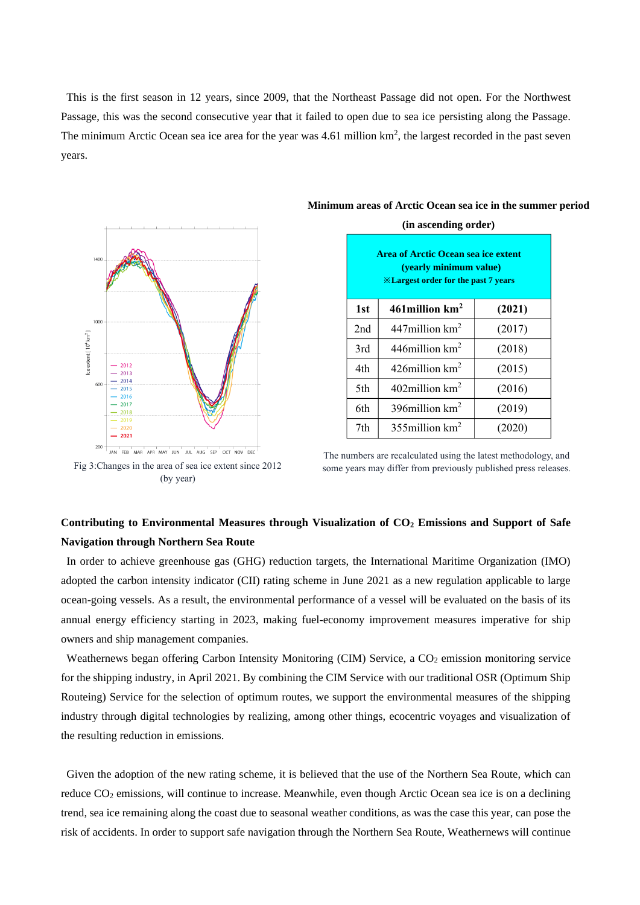This is the first season in 12 years, since 2009, that the Northeast Passage did not open. For the Northwest Passage, this was the second consecutive year that it failed to open due to sea ice persisting along the Passage. The minimum Arctic Ocean sea ice area for the year was  $4.61$  million  $km^2$ , the largest recorded in the past seven years.



**Minimum areas of Arctic Ocean sea ice in the summer period (in ascending order)**

**Area of Arctic Ocean sea ice extent (yearly minimum value) ※Largest order for the past 7 years**  $1st$  **461million**  $km^2$ **(2021)** 2nd  $\vert$  447million km<sup>2</sup> (2017)  $3rd \frac{446 \text{million km}^2}{2}$ (2018) 4th  $\left| \right|$  426 million km<sup>2</sup> (2015) 5th  $\vert$  402million km<sup>2</sup> (2016) 6th  $\frac{1}{396}$  396 million km<sup>2</sup> (2019) 7th  $\vert$  355million km<sup>2</sup> (2020)

200 JAN FEB MAR APR MAY JUN JUL AUG SEP OCT NOV DEC Fig 3:Changes in the area of sea ice extent since 2012

(by year)

The numbers are recalculated using the latest methodology, and some years may differ from previously published press releases.

## **Contributing to Environmental Measures through Visualization of CO<sup>2</sup> Emissions and Support of Safe Navigation through Northern Sea Route**

In order to achieve greenhouse gas (GHG) reduction targets, the International Maritime Organization (IMO) adopted the carbon intensity indicator (CII) rating scheme in June 2021 as a new regulation applicable to large ocean-going vessels. As a result, the environmental performance of a vessel will be evaluated on the basis of its annual energy efficiency starting in 2023, making fuel-economy improvement measures imperative for ship owners and ship management companies.

Weathernews began offering Carbon Intensity Monitoring (CIM) Service, a CO<sub>2</sub> emission monitoring service for the shipping industry, in April 2021. By combining the CIM Service with our traditional OSR (Optimum Ship Routeing) Service for the selection of optimum routes, we support the environmental measures of the shipping industry through digital technologies by realizing, among other things, ecocentric voyages and visualization of the resulting reduction in emissions.

Given the adoption of the new rating scheme, it is believed that the use of the Northern Sea Route, which can reduce CO<sub>2</sub> emissions, will continue to increase. Meanwhile, even though Arctic Ocean sea ice is on a declining trend, sea ice remaining along the coast due to seasonal weather conditions, as was the case this year, can pose the risk of accidents. In order to support safe navigation through the Northern Sea Route, Weathernews will continue